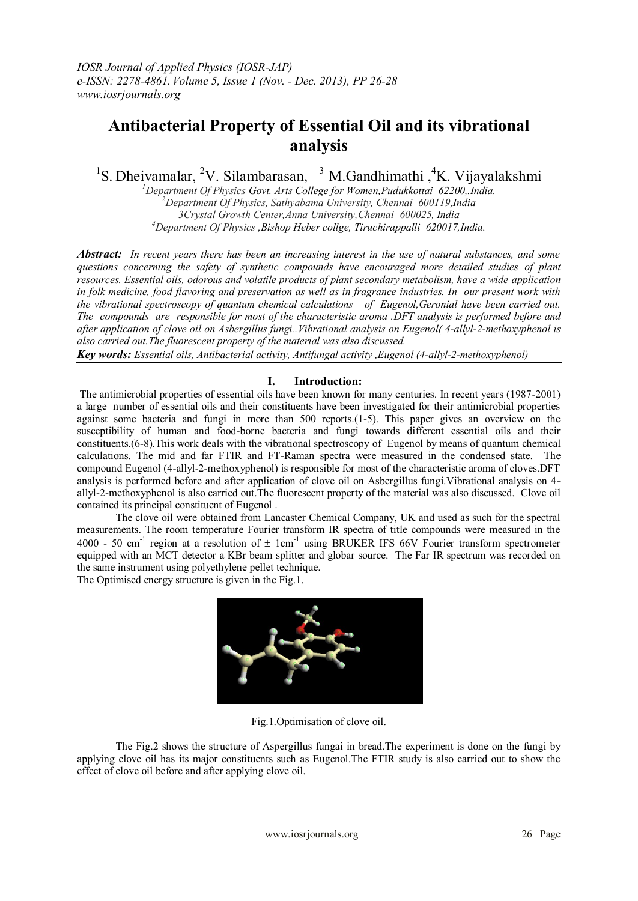# **Antibacterial Property of Essential Oil and its vibrational analysis**

<sup>1</sup>S. Dheivamalar, <sup>2</sup>V. Silambarasan, <sup>3</sup> M. Gandhimathi , <sup>4</sup>K. Vijayalakshmi

*Department Of Physics Govt. Arts College for Women,Pudukkottai 62200,.India. Department Of Physics, Sathyabama University, Chennai 600119,India 3Crystal Growth Center,Anna University,Chennai 600025, India Department Of Physics ,Bishop Heber collge, Tiruchirappalli 620017,India.*

*Abstract: In recent years there has been an increasing interest in the use of natural substances, and some questions concerning the safety of synthetic compounds have encouraged more detailed studies of plant resources. Essential oils, odorous and volatile products of plant secondary metabolism, have a wide application in folk medicine, food flavoring and preservation as well as in fragrance industries. In our present work with the vibrational spectroscopy of quantum chemical calculations of Eugenol,Geronial have been carried out. The compounds are responsible for most of the characteristic aroma .DFT analysis is performed before and after application of clove oil on Asbergillus fungi..Vibrational analysis on Eugenol( 4-allyl-2-methoxyphenol is also carried out.The fluorescent property of the material was also discussed.*

*Key words: Essential oils, Antibacterial activity, Antifungal activity ,Eugenol (4-allyl-2-methoxyphenol)*

## **I. Introduction:**

The antimicrobial properties of essential oils have been known for many centuries. In recent years (1987-2001) a large number of essential oils and their constituents have been investigated for their antimicrobial properties against some bacteria and fungi in more than 500 reports.(1-5). This paper gives an overview on the susceptibility of human and food-borne bacteria and fungi towards different essential oils and their constituents.(6-8).This work deals with the vibrational spectroscopy of Eugenol by means of quantum chemical calculations. The mid and far FTIR and FT-Raman spectra were measured in the condensed state. The compound Eugenol (4-allyl-2-methoxyphenol) is responsible for most of the characteristic aroma of cloves.DFT analysis is performed before and after application of clove oil on Asbergillus fungi.Vibrational analysis on 4 allyl-2-methoxyphenol is also carried out.The fluorescent property of the material was also discussed. Clove oil contained its principal constituent of Eugenol .

The clove oil were obtained from Lancaster Chemical Company, UK and used as such for the spectral measurements. The room temperature Fourier transform IR spectra of title compounds were measured in the 4000 - 50 cm<sup>-1</sup> region at a resolution of  $\pm$  1cm<sup>-1</sup> using BRUKER IFS 66V Fourier transform spectrometer equipped with an MCT detector a KBr beam splitter and globar source. The Far IR spectrum was recorded on the same instrument using polyethylene pellet technique.

The Optimised energy structure is given in the Fig.1.



Fig.1.Optimisation of clove oil.

The Fig.2 shows the structure of Aspergillus fungai in bread.The experiment is done on the fungi by applying clove oil has its major constituents such as Eugenol.The FTIR study is also carried out to show the effect of clove oil before and after applying clove oil.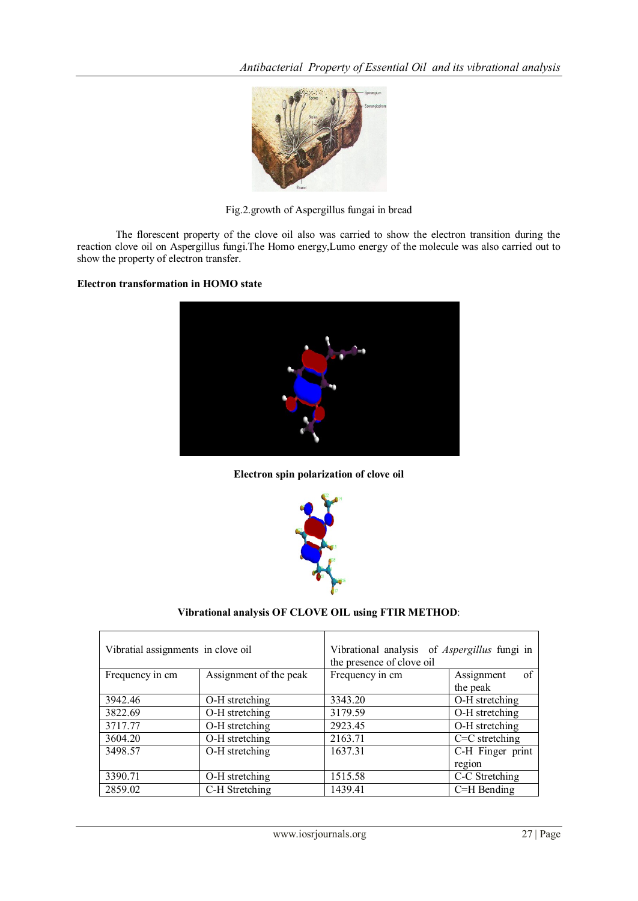

Fig.2.growth of Aspergillus fungai in bread

The florescent property of the clove oil also was carried to show the electron transition during the reaction clove oil on Aspergillus fungi.The Homo energy,Lumo energy of the molecule was also carried out to show the property of electron transfer.

## **Electron transformation in HOMO state**



**Electron spin polarization of clove oil**



## **Vibrational analysis OF CLOVE OIL using FTIR METHOD**:

| Vibratial assignments in clove oil |                        | Vibrational analysis of <i>Aspergillus</i> fungi in<br>the presence of clove oil |                   |
|------------------------------------|------------------------|----------------------------------------------------------------------------------|-------------------|
| Frequency in cm                    | Assignment of the peak | Frequency in cm                                                                  | Assignment<br>-of |
|                                    |                        |                                                                                  | the peak          |
| 3942.46                            | O-H stretching         | 3343.20                                                                          | O-H stretching    |
| 3822.69                            | O-H stretching         | 3179.59                                                                          | O-H stretching    |
| 3717.77                            | O-H stretching         | 2923.45                                                                          | O-H stretching    |
| 3604.20                            | O-H stretching         | 2163.71                                                                          | $C=C$ stretching  |
| 3498.57                            | O-H stretching         | 1637.31                                                                          | C-H Finger print  |
|                                    |                        |                                                                                  | region            |
| 3390.71                            | O-H stretching         | 1515.58                                                                          | C-C Stretching    |
| 2859.02                            | C-H Stretching         | 1439.41                                                                          | C=H Bending       |